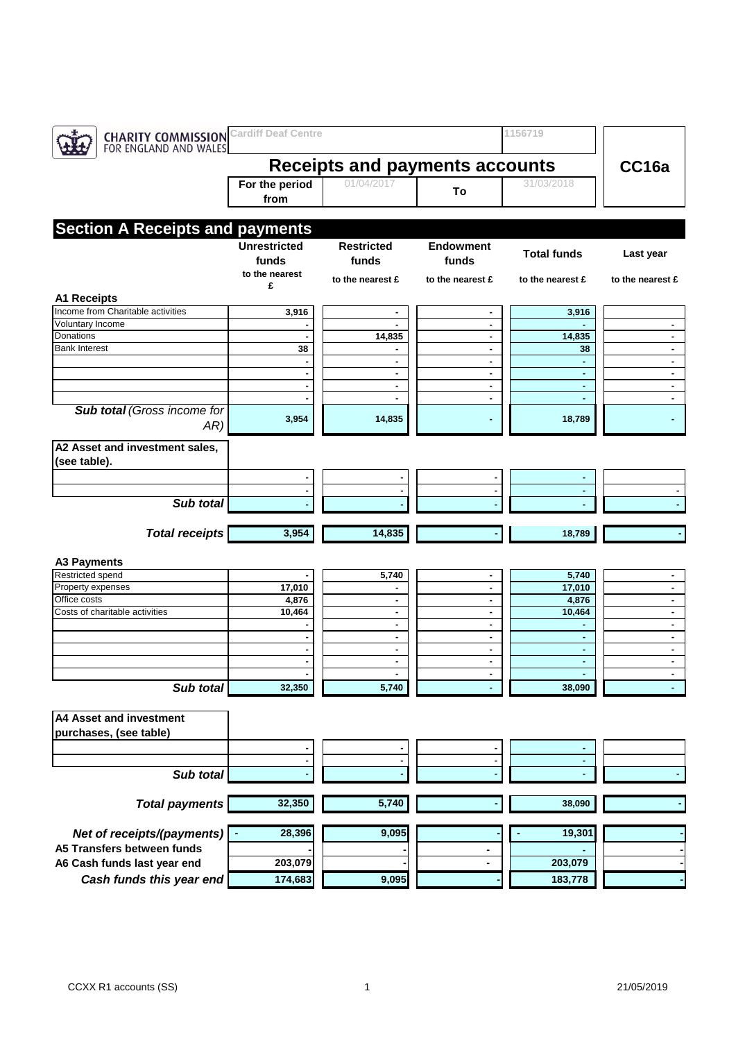| <b>CHARITY COMMISSION</b><br>FOR ENGLAND AND WALES | <b>Cardiff Deaf Centre</b>                     |                            |                           | 1156719            |                  |
|----------------------------------------------------|------------------------------------------------|----------------------------|---------------------------|--------------------|------------------|
|                                                    | <b>Receipts and payments accounts</b>          | CC16a                      |                           |                    |                  |
|                                                    | For the period<br>from                         | 01/04/2017                 | To                        | 31/03/2018         |                  |
|                                                    |                                                |                            |                           |                    |                  |
| <b>Section A Receipts and payments</b>             |                                                |                            |                           |                    |                  |
|                                                    | <b>Unrestricted</b><br>funds<br>to the nearest | <b>Restricted</b><br>funds | <b>Endowment</b><br>funds | <b>Total funds</b> | Last year        |
|                                                    | £                                              | to the nearest £           | to the nearest £          | to the nearest £   | to the nearest £ |
| <b>A1 Receipts</b>                                 |                                                |                            |                           |                    |                  |
| Income from Charitable activities                  | 3,916                                          | ٠                          |                           | 3,916              |                  |
| Voluntary Income                                   |                                                |                            | ٠                         |                    | ٠                |
| Donations<br><b>Bank Interest</b>                  |                                                | 14,835                     | ۰.                        | 14,835             | ٠                |
|                                                    | 38                                             | ٠                          | ٠<br>٠                    | 38<br>٠            | ٠<br>٠           |
|                                                    |                                                | $\blacksquare$             | ٠                         | ÷.                 | ٠                |
|                                                    |                                                | ٠                          | $\blacksquare$            | $\blacksquare$     | $\blacksquare$   |
|                                                    |                                                | ۰                          | ٠                         | ٠                  | ٠                |
| <b>Sub total (Gross income for</b><br>AR           | 3,954                                          | 14,835                     |                           | 18,789             |                  |
| A2 Asset and investment sales,                     |                                                |                            |                           |                    |                  |
| (see table).                                       |                                                |                            |                           |                    |                  |
|                                                    |                                                |                            |                           |                    |                  |
| Sub total                                          |                                                |                            |                           |                    |                  |
|                                                    |                                                |                            |                           |                    |                  |
| <b>Total receipts</b>                              | 3,954                                          | 14,835                     |                           | 18,789             |                  |
|                                                    |                                                |                            |                           |                    |                  |
| <b>A3 Payments</b>                                 |                                                |                            |                           |                    |                  |
| Restricted spend                                   | 17,010                                         | 5,740                      |                           | 5,740<br>17,010    |                  |
| Property expenses<br>Office costs                  | 4,876                                          | ٠<br>٠                     | ٠<br>٠                    | 4,876              | ٠<br>٠           |
| Costs of charitable activities                     | 10,464                                         | ٠                          | ۰                         | 10,464             | ۰                |
|                                                    |                                                | ٠                          | ٠                         | ۰                  | ٠                |
|                                                    |                                                | ٠                          | ٠                         | ٠                  | ٠                |
|                                                    |                                                | ٠                          | $\blacksquare$            | ٠                  | $\blacksquare$   |
|                                                    |                                                | ٠                          | ٠                         | ٠                  | ٠                |
|                                                    |                                                |                            |                           |                    |                  |
| Sub total                                          | 32,350                                         | 5,740                      |                           | 38,090             |                  |
| <b>A4 Asset and investment</b>                     |                                                |                            |                           |                    |                  |
| purchases, (see table)                             |                                                |                            |                           |                    |                  |
|                                                    |                                                |                            |                           |                    |                  |
|                                                    |                                                |                            | $\blacksquare$            | ٠                  |                  |
| Sub total                                          |                                                |                            |                           |                    |                  |
|                                                    |                                                |                            |                           |                    |                  |
| <b>Total payments</b>                              | 32,350                                         | 5,740                      |                           | 38,090             |                  |
| Net of receipts/(payments)                         | 28,396                                         | 9,095                      |                           | 19,301             |                  |
| A5 Transfers between funds                         |                                                |                            |                           |                    |                  |
| A6 Cash funds last year end                        | 203,079                                        |                            | -                         | 203,079            |                  |
| Cash funds this year end                           | 174,683                                        | 9,095                      |                           | 183,778            |                  |
|                                                    |                                                |                            |                           |                    |                  |